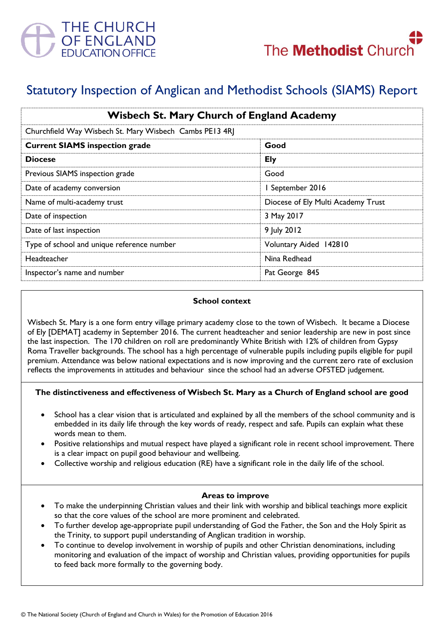

# Statutory Inspection of Anglican and Methodist Schools (SIAMS) Report

| <b>Wisbech St. Mary Church of England Academy</b>       |                                    |
|---------------------------------------------------------|------------------------------------|
| Churchfield Way Wisbech St. Mary Wisbech Cambs PE13 4RJ |                                    |
| <b>Current SIAMS inspection grade</b>                   | Good                               |
| <b>Diocese</b>                                          | <b>Ely</b>                         |
| Previous SIAMS inspection grade                         | Good                               |
| Date of academy conversion                              | I September 2016                   |
| Name of multi-academy trust                             | Diocese of Ely Multi Academy Trust |
| Date of inspection                                      | 3 May 2017                         |
| Date of last inspection                                 | 9 July 2012                        |
| Type of school and unique reference number              | Voluntary Aided 142810             |
| Headteacher                                             | Nina Redhead                       |
| Inspector's name and number                             | Pat George 845                     |

### **School context**

Wisbech St. Mary is a one form entry village primary academy close to the town of Wisbech. It became a Diocese of Ely [DEMAT] academy in September 2016. The current headteacher and senior leadership are new in post since the last inspection. The 170 children on roll are predominantly White British with 12% of children from Gypsy Roma Traveller backgrounds. The school has a high percentage of vulnerable pupils including pupils eligible for pupil premium. Attendance was below national expectations and is now improving and the current zero rate of exclusion reflects the improvements in attitudes and behaviour since the school had an adverse OFSTED judgement.

## **The distinctiveness and effectiveness of Wisbech St. Mary as a Church of England school are good**

- School has a clear vision that is articulated and explained by all the members of the school community and is embedded in its daily life through the key words of ready, respect and safe. Pupils can explain what these words mean to them.
- Positive relationships and mutual respect have played a significant role in recent school improvement. There is a clear impact on pupil good behaviour and wellbeing.
- Collective worship and religious education (RE) have a significant role in the daily life of the school.

#### **Areas to improve**

- To make the underpinning Christian values and their link with worship and biblical teachings more explicit so that the core values of the school are more prominent and celebrated.
- To further develop age-appropriate pupil understanding of God the Father, the Son and the Holy Spirit as the Trinity, to support pupil understanding of Anglican tradition in worship.
- To continue to develop involvement in worship of pupils and other Christian denominations, including monitoring and evaluation of the impact of worship and Christian values, providing opportunities for pupils to feed back more formally to the governing body.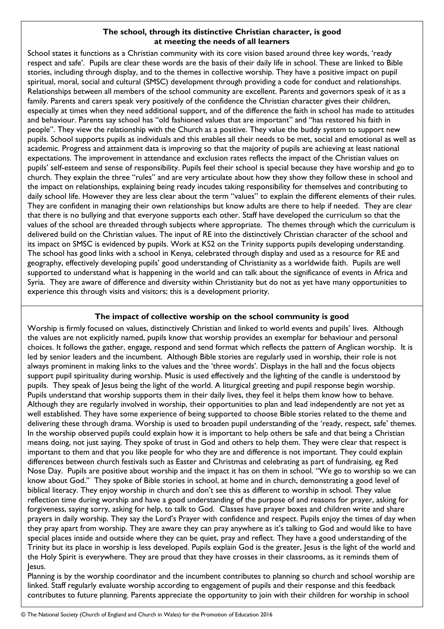#### **The school, through its distinctive Christian character, is good at meeting the needs of all learners**

School states it functions as a Christian community with its core vision based around three key words, 'ready respect and safe'. Pupils are clear these words are the basis of their daily life in school. These are linked to Bible stories, including through display, and to the themes in collective worship. They have a positive impact on pupil spiritual, moral, social and cultural (SMSC) development through providing a code for conduct and relationships. Relationships between all members of the school community are excellent. Parents and governors speak of it as a family. Parents and carers speak very positively of the confidence the Christian character gives their children, especially at times when they need additional support, and of the difference the faith in school has made to attitudes and behaviour. Parents say school has "old fashioned values that are important" and "has restored his faith in people". They view the relationship with the Church as a positive. They value the buddy system to support new pupils. School supports pupils as individuals and this enables all their needs to be met, social and emotional as well as academic. Progress and attainment data is improving so that the majority of pupils are achieving at least national expectations. The improvement in attendance and exclusion rates reflects the impact of the Christian values on pupils' self-esteem and sense of responsibility. Pupils feel their school is special because they have worship and go to church. They explain the three "rules" and are very articulate about how they show they follow these in school and the impact on relationships, explaining being ready incudes taking responsibility for themselves and contributing to daily school life. However they are less clear about the term "values" to explain the different elements of their rules. They are confident in managing their own relationships but know adults are there to help if needed. They are clear that there is no bullying and that everyone supports each other. Staff have developed the curriculum so that the values of the school are threaded through subjects where appropriate. The themes through which the curriculum is delivered build on the Christian values. The input of RE into the distinctively Christian character of the school and its impact on SMSC is evidenced by pupils. Work at KS2 on the Trinity supports pupils developing understanding. The school has good links with a school in Kenya, celebrated through display and used as a resource for RE and geography, effectively developing pupils' good understanding of Christianity as a worldwide faith. Pupils are well supported to understand what is happening in the world and can talk about the significance of events in Africa and Syria. They are aware of difference and diversity within Christianity but do not as yet have many opportunities to experience this through visits and visitors; this is a development priority.

#### **The impact of collective worship on the school community is good**

Worship is firmly focused on values, distinctively Christian and linked to world events and pupils' lives. Although the values are not explicitly named, pupils know that worship provides an exemplar for behaviour and personal choices. It follows the gather, engage, respond and send format which reflects the pattern of Anglican worship. It is led by senior leaders and the incumbent. Although Bible stories are regularly used in worship, their role is not always prominent in making links to the values and the 'three words'. Displays in the hall and the focus objects support pupil spirituality during worship. Music is used effectively and the lighting of the candle is understood by pupils. They speak of Jesus being the light of the world. A liturgical greeting and pupil response begin worship. Pupils understand that worship supports them in their daily lives, they feel it helps them know how to behave. Although they are regularly involved in worship, their opportunities to plan and lead independently are not yet as well established. They have some experience of being supported to choose Bible stories related to the theme and delivering these through drama. Worship is used to broaden pupil understanding of the 'ready, respect, safe' themes. In the worship observed pupils could explain how it is important to help others be safe and that being a Christian means doing, not just saying. They spoke of trust in God and others to help them. They were clear that respect is important to them and that you like people for who they are and difference is not important. They could explain differences between church festivals such as Easter and Christmas and celebrating as part of fundraising, eg Red Nose Day. Pupils are positive about worship and the impact it has on them in school. "We go to worship so we can know about God." They spoke of Bible stories in school, at home and in church, demonstrating a good level of biblical literacy. They enjoy worship in church and don't see this as different to worship in school. They value reflection time during worship and have a good understanding of the purpose of and reasons for prayer, asking for forgiveness, saying sorry, asking for help, to talk to God. Classes have prayer boxes and children write and share prayers in daily worship. They say the Lord's Prayer with confidence and respect. Pupils enjoy the times of day when they pray apart from worship. They are aware they can pray anywhere as it's talking to God and would like to have special places inside and outside where they can be quiet, pray and reflect. They have a good understanding of the Trinity but its place in worship is less developed. Pupils explain God is the greater, Jesus is the light of the world and the Holy Spirit is everywhere. They are proud that they have crosses in their classrooms, as it reminds them of Jesus.

Planning is by the worship coordinator and the incumbent contributes to planning so church and school worship are linked. Staff regularly evaluate worship according to engagement of pupils and their response and this feedback contributes to future planning. Parents appreciate the opportunity to join with their children for worship in school